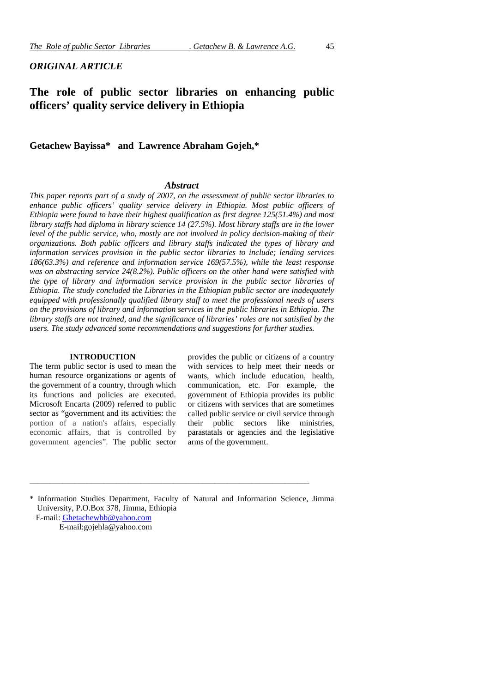## *ORIGINAL ARTICLE*

# **The role of public sector libraries on enhancing public officers' quality service delivery in Ethiopia**

# **Getachew Bayissa\* and Lawrence Abraham Gojeh,\***

# *Abstract*

*This paper reports part of a study of 2007, on the assessment of public sector libraries to*  enhance public officers' quality service delivery in Ethiopia. Most public officers of *Ethiopia were found to have their highest qualification as first degree 125(51.4%) and most library staffs had diploma in library science 14 (27.5%). Most library staffs are in the lower level of the public service, who, mostly are not involved in policy decision-making of their organizations. Both public officers and library staffs indicated the types of library and information services provision in the public sector libraries to include; lending services 186(63.3%) and reference and information service 169(57.5%), while the least response was on abstracting service 24(8.2%). Public officers on the other hand were satisfied with the type of library and information service provision in the public sector libraries of Ethiopia. The study concluded the Libraries in the Ethiopian public sector are inadequately equipped with professionally qualified library staff to meet the professional needs of users on the provisions of library and information services in the public libraries in Ethiopia. The library staffs are not trained, and the significance of libraries' roles are not satisfied by the users. The study advanced some recommendations and suggestions for further studies.* 

### **INTRODUCTION**

The term public sector is used to mean the human resource organizations or agents of the government of a country, through which its functions and policies are executed. Microsoft Encarta (2009) referred to public sector as "government and its activities: the portion of a nation's affairs, especially economic affairs, that is controlled by government agencies". The public sector provides the public or citizens of a country with services to help meet their needs or wants, which include education, health, communication, etc. For example, the government of Ethiopia provides its public or citizens with services that are sometimes called public service or civil service through their public sectors like ministries, parastatals or agencies and the legislative arms of the government.

\* Information Studies Department, Faculty of Natural and Information Science, Jimma University, P.O.Box 378, Jimma, Ethiopia E-mail: [Ghetachewbb@yahoo.com](mailto:Ghetachewbb@yahoo.com)

\_\_\_\_\_\_\_\_\_\_\_\_\_\_\_\_\_\_\_\_\_\_\_\_\_\_\_\_\_\_\_\_\_\_\_\_\_\_\_\_\_\_\_\_\_\_\_\_\_\_\_\_\_\_\_\_\_\_\_\_\_\_\_\_\_\_\_\_

E-mail:gojehla@yahoo.com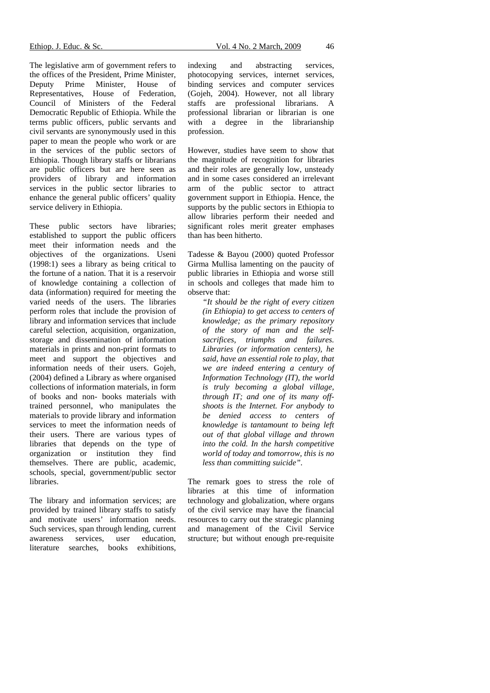The legislative arm of government refers to the offices of the President, Prime Minister, Deputy Prime Minister, House of Representatives, House of Federation, Council of Ministers of the Federal Democratic Republic of Ethiopia. While the terms public officers, public servants and civil servants are synonymously used in this paper to mean the people who work or are in the services of the public sectors of Ethiopia. Though library staffs or librarians are public officers but are here seen as providers of library and information services in the public sector libraries to enhance the general public officers' quality service delivery in Ethiopia.

These public sectors have libraries; established to support the public officers meet their information needs and the objectives of the organizations. Useni (1998:1) sees a library as being critical to the fortune of a nation. That it is a reservoir of knowledge containing a collection of data (information) required for meeting the varied needs of the users. The libraries perform roles that include the provision of library and information services that include careful selection, acquisition, organization, storage and dissemination of information materials in prints and non-print formats to meet and support the objectives and information needs of their users. Gojeh, (2004) defined a Library as where organised collections of information materials, in form of books and non- books materials with trained personnel, who manipulates the materials to provide library and information services to meet the information needs of their users. There are various types of libraries that depends on the type of organization or institution they find themselves. There are public, academic, schools, special, government/public sector libraries.

The library and information services; are provided by trained library staffs to satisfy and motivate users' information needs. Such services, span through lending, current<br>awareness services. user education. awareness services, user education, literature searches, books exhibitions,

indexing and abstracting services, photocopying services, internet services, binding services and computer services (Gojeh, 2004). However, not all library staffs are professional librarians. A professional librarian or librarian is one with a degree in the librarianship profession.

However, studies have seem to show that the magnitude of recognition for libraries and their roles are generally low, unsteady and in some cases considered an irrelevant arm of the public sector to attract government support in Ethiopia. Hence, the supports by the public sectors in Ethiopia to allow libraries perform their needed and significant roles merit greater emphases than has been hitherto.

Tadesse & Bayou (2000) quoted Professor Girma Mullisa lamenting on the paucity of public libraries in Ethiopia and worse still in schools and colleges that made him to observe that:

*"It should be the right of every citizen (in Ethiopia) to get access to centers of knowledge; as the primary repository of the story of man and the selfsacrifices, triumphs and failures. Libraries (or information centers), he said, have an essential role to play, that we are indeed entering a century of Information Technology (IT), the world is truly becoming a global village, through IT; and one of its many offshoots is the Internet. For anybody to be denied access to centers of knowledge is tantamount to being left out of that global village and thrown into the cold. In the harsh competitive world of today and tomorrow, this is no less than committing suicide".* 

The remark goes to stress the role of libraries at this time of information technology and globalization, where organs of the civil service may have the financial resources to carry out the strategic planning and management of the Civil Service structure; but without enough pre-requisite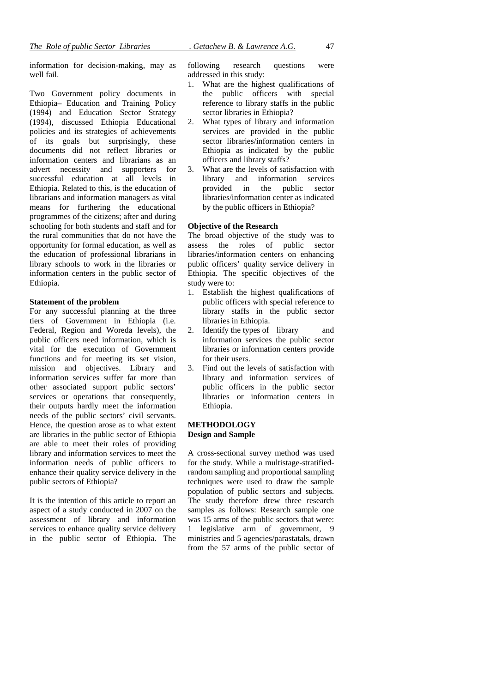information for decision-making, may as well fail.

Two Government policy documents in Ethiopia– Education and Training Policy (1994) and Education Sector Strategy (1994), discussed Ethiopia Educational policies and its strategies of achievements of its goals but surprisingly, these documents did not reflect libraries or information centers and librarians as an advert necessity and supporters for successful education at all levels in Ethiopia. Related to this, is the education of librarians and information managers as vital means for furthering the educational programmes of the citizens; after and during schooling for both students and staff and for the rural communities that do not have the opportunity for formal education, as well as the education of professional librarians in library schools to work in the libraries or information centers in the public sector of Ethiopia.

## **Statement of the problem**

For any successful planning at the three tiers of Government in Ethiopia (i.e. Federal, Region and Woreda levels), the public officers need information, which is vital for the execution of Government functions and for meeting its set vision, mission and objectives. Library and information services suffer far more than other associated support public sectors' services or operations that consequently, their outputs hardly meet the information needs of the public sectors' civil servants. Hence, the question arose as to what extent are libraries in the public sector of Ethiopia are able to meet their roles of providing library and information services to meet the information needs of public officers to enhance their quality service delivery in the public sectors of Ethiopia?

It is the intention of this article to report an aspect of a study conducted in 2007 on the assessment of library and information services to enhance quality service delivery in the public sector of Ethiopia. The following research questions were addressed in this study:

- 1. What are the highest qualifications of the public officers with special reference to library staffs in the public sector libraries in Ethiopia?
- 2. What types of library and information services are provided in the public sector libraries/information centers in Ethiopia as indicated by the public officers and library staffs?
- 3. What are the levels of satisfaction with library and information services provided in the public sector libraries/information center as indicated by the public officers in Ethiopia?

### **Objective of the Research**

The broad objective of the study was to assess the roles of public sector libraries/information centers on enhancing public officers' quality service delivery in Ethiopia. The specific objectives of the study were to:

- 1. Establish the highest qualifications of public officers with special reference to library staffs in the public sector libraries in Ethiopia.
- 2. Identify the types of library and information services the public sector libraries or information centers provide for their users.
- 3. Find out the levels of satisfaction with library and information services of public officers in the public sector libraries or information centers in Ethiopia.

### **METHODOLOGY Design and Sample**

A cross-sectional survey method was used for the study. While a multistage-stratifiedrandom sampling and proportional sampling techniques were used to draw the sample population of public sectors and subjects. The study therefore drew three research samples as follows: Research sample one was 15 arms of the public sectors that were: 1 legislative arm of government, 9 ministries and 5 agencies/parastatals, drawn from the 57 arms of the public sector of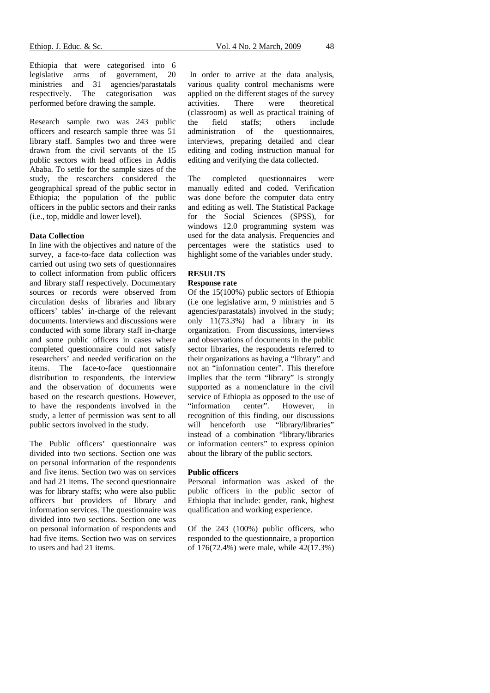Ethiopia that were categorised into 6 legislative arms of government, 20 ministries and 31 agencies/parastatals<br>respectively. The categorisation was respectively. The categorisation performed before drawing the sample.

Research sample two was 243 public officers and research sample three was 51 library staff. Samples two and three were drawn from the civil servants of the 15 public sectors with head offices in Addis Ababa. To settle for the sample sizes of the study, the researchers considered the geographical spread of the public sector in Ethiopia; the population of the public officers in the public sectors and their ranks (i.e., top, middle and lower level).

### **Data Collection**

In line with the objectives and nature of the survey, a face-to-face data collection was carried out using two sets of questionnaires to collect information from public officers and library staff respectively. Documentary sources or records were observed from circulation desks of libraries and library officers' tables' in-charge of the relevant documents. Interviews and discussions were conducted with some library staff in-charge and some public officers in cases where completed questionnaire could not satisfy researchers' and needed verification on the items. The face-to-face questionnaire distribution to respondents, the interview and the observation of documents were based on the research questions. However, to have the respondents involved in the study, a letter of permission was sent to all public sectors involved in the study.

The Public officers' questionnaire was divided into two sections. Section one was on personal information of the respondents and five items. Section two was on services and had 21 items. The second questionnaire was for library staffs; who were also public officers but providers of library and information services. The questionnaire was divided into two sections. Section one was on personal information of respondents and had five items. Section two was on services to users and had 21 items.

 In order to arrive at the data analysis, various quality control mechanisms were applied on the different stages of the survey activities. There were theoretical (classroom) as well as practical training of the field staffs; others include administration of the questionnaires, interviews, preparing detailed and clear editing and coding instruction manual for editing and verifying the data collected.

The completed questionnaires were manually edited and coded. Verification was done before the computer data entry and editing as well. The Statistical Package for the Social Sciences (SPSS), for windows 12.0 programming system was used for the data analysis. Frequencies and percentages were the statistics used to highlight some of the variables under study.

# **RESULTS**

# **Response rate**

Of the 15(100%) public sectors of Ethiopia (i.e one legislative arm, 9 ministries and 5 agencies/parastatals) involved in the study; only 11(73.3%) had a library in its organization. From discussions, interviews and observations of documents in the public sector libraries, the respondents referred to their organizations as having a "library" and not an "information center". This therefore implies that the term "library" is strongly supported as a nomenclature in the civil service of Ethiopia as opposed to the use of "information center". However, in recognition of this finding, our discussions will henceforth use "library/libraries" instead of a combination "library/libraries or information centers" to express opinion about the library of the public sectors.

# **Public officers**

Personal information was asked of the public officers in the public sector of Ethiopia that include: gender, rank, highest qualification and working experience.

Of the 243 (100%) public officers, who responded to the questionnaire, a proportion of 176(72.4%) were male, while 42(17.3%)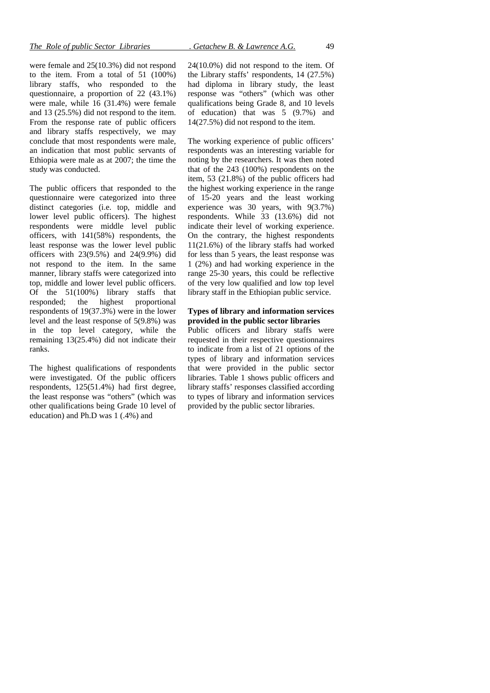were female and 25(10.3%) did not respond to the item. From a total of 51 (100%) library staffs, who responded to the questionnaire, a proportion of 22 (43.1%) were male, while 16 (31.4%) were female and 13 (25.5%) did not respond to the item. From the response rate of public officers and library staffs respectively, we may conclude that most respondents were male, an indication that most public servants of Ethiopia were male as at 2007; the time the study was conducted.

The public officers that responded to the questionnaire were categorized into three distinct categories (i.e. top, middle and lower level public officers). The highest respondents were middle level public officers, with 141(58%) respondents, the least response was the lower level public officers with 23(9.5%) and 24(9.9%) did not respond to the item. In the same manner, library staffs were categorized into top, middle and lower level public officers. Of the 51(100%) library staffs that responded; the highest proportional respondents of 19(37.3%) were in the lower level and the least response of 5(9.8%) was in the top level category, while the remaining 13(25.4%) did not indicate their ranks.

The highest qualifications of respondents were investigated. Of the public officers respondents, 125(51.4%) had first degree, the least response was "others" (which was other qualifications being Grade 10 level of education) and Ph.D was 1 (.4%) and

24(10.0%) did not respond to the item. Of the Library staffs' respondents, 14 (27.5%) had diploma in library study, the least response was "others" (which was other qualifications being Grade 8, and 10 levels of education) that was 5 (9.7%) and 14(27.5%) did not respond to the item.

The working experience of public officers' respondents was an interesting variable for noting by the researchers. It was then noted that of the 243 (100%) respondents on the item, 53 (21.8%) of the public officers had the highest working experience in the range of 15-20 years and the least working experience was 30 years, with 9(3.7%) respondents. While 33 (13.6%) did not indicate their level of working experience. On the contrary, the highest respondents 11(21.6%) of the library staffs had worked for less than 5 years, the least response was 1 (2%) and had working experience in the range 25-30 years, this could be reflective of the very low qualified and low top level library staff in the Ethiopian public service.

# **Types of library and information services provided in the public sector libraries**

Public officers and library staffs were requested in their respective questionnaires to indicate from a list of 21 options of the types of library and information services that were provided in the public sector libraries. Table 1 shows public officers and library staffs' responses classified according to types of library and information services provided by the public sector libraries.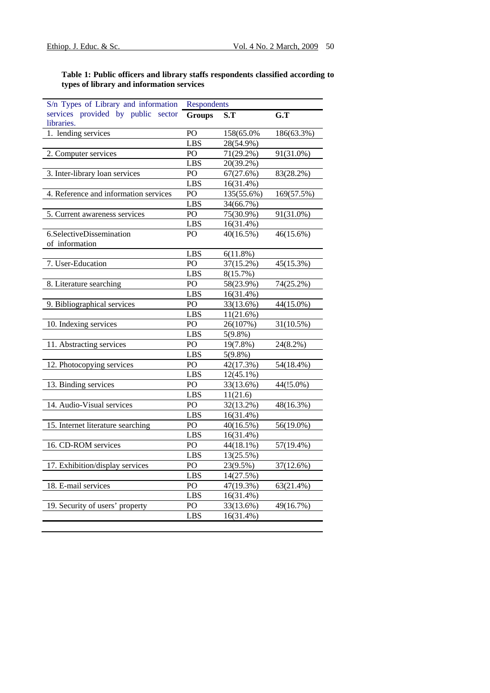### **Table 1: Public officers and library staffs respondents classified according to types of library and information services**

| S/n Types of Library and information             | Respondents    |              |            |
|--------------------------------------------------|----------------|--------------|------------|
| services provided by public sector<br>libraries. | <b>Groups</b>  | S.T          | G.T        |
| 1. lending services                              | PO             | 158(65.0%    | 186(63.3%) |
|                                                  | LBS            | 28(54.9%)    |            |
| 2. Computer services                             | PO             | 71(29.2%)    | 91(31.0%)  |
|                                                  | LBS            | 20(39.2%)    |            |
| 3. Inter-library loan services                   | PO             | 67(27.6%)    | 83(28.2%)  |
|                                                  | <b>LBS</b>     | $16(31.4\%)$ |            |
| 4. Reference and information services            | PO             | 135(55.6%)   | 169(57.5%) |
|                                                  | <b>LBS</b>     | 34(66.7%)    |            |
| 5. Current awareness services                    | PO             | 75(30.9%)    | 91(31.0%)  |
|                                                  | <b>LBS</b>     | $16(31.4\%)$ |            |
| 6.SelectiveDissemination                         | PO             | 40(16.5%)    | 46(15.6%)  |
| of information                                   |                |              |            |
|                                                  | <b>LBS</b>     | 6(11.8%)     |            |
| 7. User-Education                                | PO             | 37(15.2%)    | 45(15.3%)  |
|                                                  | LBS            | 8(15.7%)     |            |
| 8. Literature searching                          | P <sub>O</sub> | 58(23.9%)    | 74(25.2%)  |
|                                                  | LBS            | 16(31.4%)    |            |
| 9. Bibliographical services                      | PO             | 33(13.6%)    | 44(15.0%)  |
|                                                  | <b>LBS</b>     | 11(21.6%)    |            |
| 10. Indexing services                            | PO             | 26(107%)     | 31(10.5%)  |
|                                                  | LBS            | $5(9.8\%)$   |            |
| 11. Abstracting services                         | PO             | 19(7.8%)     | 24(8.2%)   |
|                                                  | <b>LBS</b>     | $5(9.8\%)$   |            |
| 12. Photocopying services                        | PO             | 42(17.3%)    | 54(18.4%)  |
|                                                  | <b>LBS</b>     | $12(45.1\%)$ |            |
| 13. Binding services                             | PO             | 33(13.6%)    | 44(!5.0%)  |
|                                                  | <b>LBS</b>     | 11(21.6)     |            |
| 14. Audio-Visual services                        | PO             | 32(13.2%)    | 48(16.3%)  |
|                                                  | LBS            | 16(31.4%)    |            |
| 15. Internet literature searching                | PO             | 40(16.5%)    | 56(19.0%)  |
|                                                  | LBS            | 16(31.4%)    |            |
| 16. CD-ROM services                              | PO             | 44(18.1%)    | 57(19.4%)  |
|                                                  | <b>LBS</b>     | 13(25.5%)    |            |
| 17. Exhibition/display services                  | P <sub>O</sub> | 23(9.5%)     | 37(12.6%)  |
|                                                  | <b>LBS</b>     | 14(27.5%)    |            |
| 18. E-mail services                              | PO             | 47(19.3%)    | 63(21.4%)  |
|                                                  | <b>LBS</b>     | 16(31.4%)    |            |
| 19. Security of users' property                  | PO             | 33(13.6%)    | 49(16.7%)  |
|                                                  | <b>LBS</b>     | 16(31.4%)    |            |
|                                                  |                |              |            |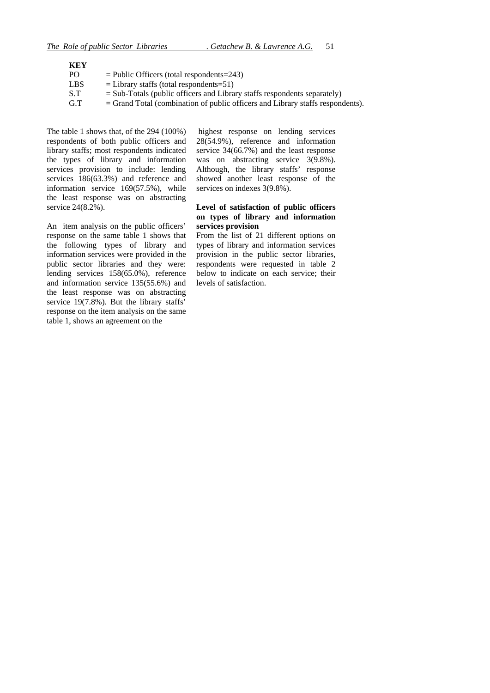| <b>KEY</b> |                                                                                  |
|------------|----------------------------------------------------------------------------------|
| PO.        | $=$ Public Officers (total respondents=243)                                      |
| <b>LBS</b> | $=$ Library staffs (total respondents=51)                                        |
| S.T        | $=$ Sub-Totals (public officers and Library staffs respondents separately)       |
| G.T        | $=$ Grand Total (combination of public officers and Library staffs respondents). |

The table 1 shows that, of the 294 (100%) respondents of both public officers and library staffs; most respondents indicated the types of library and information services provision to include: lending services 186(63.3%) and reference and information service 169(57.5%), while the least response was on abstracting service 24(8.2%).

An item analysis on the public officers' response on the same table 1 shows that the following types of library and information services were provided in the public sector libraries and they were: lending services 158(65.0%), reference and information service 135(55.6%) and the least response was on abstracting service 19(7.8%). But the library staffs' response on the item analysis on the same table 1, shows an agreement on the

 highest response on lending services 28(54.9%), reference and information service 34(66.7%) and the least response was on abstracting service 3(9.8%). Although, the library staffs' response showed another least response of the services on indexes 3(9.8%).

### **Level of satisfaction of public officers on types of library and information services provision**

From the list of 21 different options on types of library and information services provision in the public sector libraries, respondents were requested in table 2 below to indicate on each service; their levels of satisfaction.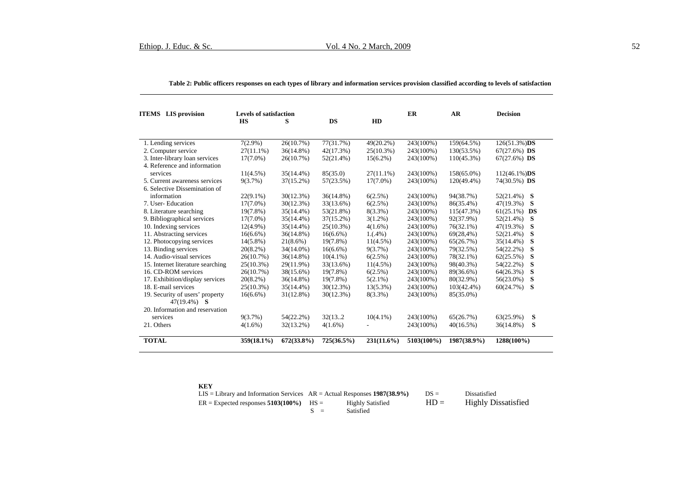| <b>ITEMS</b> LIS provision                        | Levels of satisfaction |               |              |               | ER         | AR            | <b>Decision</b>         |
|---------------------------------------------------|------------------------|---------------|--------------|---------------|------------|---------------|-------------------------|
|                                                   | <b>HS</b>              | S             | <b>DS</b>    | <b>HD</b>     |            |               |                         |
| 1. Lending services                               | $7(2.9\%)$             | 26(10.7%)     | 77(31.7%)    | 49(20.2%)     | 243(100%)  | 159(64.5%)    | 126(51.3%)DS            |
| 2. Computer service                               | $27(11.1\%)$           | $36(14.8\%)$  | 42(17.3%)    | $25(10.3\%)$  | 243(100%)  | 130(53.5%)    | $67(27.6%)$ DS          |
| 3. Inter-library loan services                    | $17(7.0\%)$            | 26(10.7%)     | $52(21.4\%)$ | $15(6.2\%)$   | 243(100%)  | $110(45.3\%)$ | $67(27.6%)$ DS          |
| 4. Reference and information                      |                        |               |              |               |            |               |                         |
| services                                          | $11(4.5\%)$            | $35(14.4\%)$  | 85(35.0)     | $27(11.1\%)$  | 243(100%)  | 158(65.0%)    | $112(46.1\%)$ <b>DS</b> |
| 5. Current awareness services                     | 9(3.7%)                | $37(15.2\%)$  | 57(23.5%)    | $17(7.0\%)$   | 243(100%)  | $120(49.4\%)$ | 74(30.5%) DS            |
| 6. Selective Dissemination of                     |                        |               |              |               |            |               |                         |
| information                                       | $22(9.1\%)$            | 30(12.3%)     | $36(14.8\%)$ | 6(2.5%)       | 243(100%)  | 94(38.7%)     | $52(21.4\%)$ S          |
| 7. User-Education                                 | $17(7.0\%)$            | 30(12.3%)     | 33(13.6%)    | 6(2.5%)       | 243(100%)  | 86(35.4%)     | 47(19.3%)<br>S          |
| 8. Literature searching                           | 19(7.8%)               | $35(14.4\%)$  | 53(21.8%)    | $8(3.3\%)$    | 243(100%)  | 115(47.3%)    | $61(25.1\%)$ DS         |
| 9. Bibliographical services                       | $17(7.0\%)$            | $35(14.4\%)$  | $37(15.2\%)$ | $3(1.2\%)$    | 243(100%)  | 92(37.9%)     | S<br>52(21.4%)          |
| 10. Indexing services                             | $12(4.9\%)$            | $35(14.4\%)$  | $25(10.3\%)$ | $4(1.6\%)$    | 243(100%)  | $76(32.1\%)$  | S<br>47(19.3%)          |
| 11. Abstracting services                          | $16(6.6\%)$            | $36(14.8\%)$  | $16(6.6\%)$  | $1.(4\%)$     | 243(100%)  | $69(28, 4\%)$ | S<br>$52(21.4\%)$       |
| 12. Photocopying services                         | $14(5.8\%)$            | 21(8.6%)      | $19(7.8\%)$  | $11(4.5\%)$   | 243(100%)  | 65(26.7%)     | S<br>$35(14.4\%)$       |
| 13. Binding services                              | $20(8.2\%)$            | $34(14.0\%)$  | $16(6.6\%)$  | 9(3.7%)       | 243(100%)  | 79(32.5%)     | S<br>$54(22.2\%)$       |
| 14. Audio-visual services                         | 26(10.7%)              | $36(14.8\%)$  | $10(4.1\%)$  | 6(2.5%)       | 243(100%)  | 78(32.1%)     | S<br>62(25.5%)          |
| 15. Internet literature searching                 | 25(10.3%)              | 29(11.9%)     | 33(13.6%)    | $11(4.5\%)$   | 243(100%)  | 98(40.3%)     | S<br>54(22.2%)          |
| 16. CD-ROM services                               | 26(10.7%)              | $38(15.6\%)$  | $19(7.8\%)$  | 6(2.5%)       | 243(100%)  | 89(36.6%)     | S<br>64(26.3%)          |
| 17. Exhibition/display services                   | $20(8.2\%)$            | $36(14.8\%)$  | $19(7.8\%)$  | $5(2.1\%)$    | 243(100%)  | 80(32.9%)     | S<br>$56(23.0\%)$       |
| 18. E-mail services                               | $25(10.3\%)$           | $35(14.4\%)$  | 30(12.3%)    | $13(5.3\%)$   | 243(100%)  | $103(42.4\%)$ | S<br>60(24.7%)          |
| 19. Security of users' property<br>$47(19.4\%)$ S | $16(6.6\%)$            | $31(12.8\%)$  | 30(12.3%)    | $8(3.3\%)$    | 243(100%)  | 85(35.0%)     |                         |
| 20. Information and reservation                   |                        |               |              |               |            |               |                         |
| services                                          | $9(3.7\%)$             | $54(22.2\%)$  | 32(13.2)     | $10(4.1\%)$   | 243(100%)  | 65(26.7%)     | S<br>63(25.9%)          |
| 21. Others                                        | $4(1.6\%)$             | $32(13.2\%)$  | $4(1.6\%)$   |               | 243(100%)  | 40(16.5%)     | $36(14.8\%)$<br>S       |
| <b>TOTAL</b>                                      | $359(18.1\%)$          | $672(33.8\%)$ | 725(36.5%)   | $231(11.6\%)$ | 5103(100%) | 1987(38.9%)   | 1288(100%)              |

| Table 2: Public officers responses on each types of library and information services provision classified according to levels of satisfaction |
|-----------------------------------------------------------------------------------------------------------------------------------------------|
|                                                                                                                                               |

| <b>KEY</b>                                                                   |       |                  |        |                            |
|------------------------------------------------------------------------------|-------|------------------|--------|----------------------------|
| $LIS =$ Library and Information Services $AR =$ Actual Responses 1987(38.9%) |       |                  | $DS =$ | Dissatisfied               |
| $ER = Expected$ responses $5103(100\%)$ $HS =$                               |       | Highly Satisfied | $HD =$ | <b>Highly Dissatisfied</b> |
|                                                                              | $S =$ | Satisfied        |        |                            |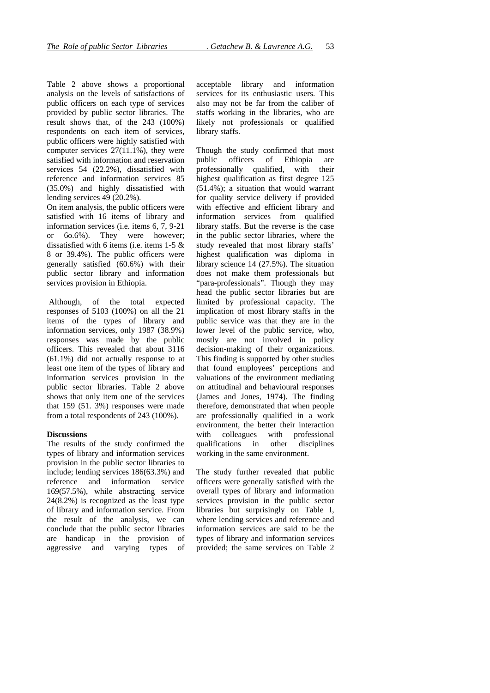Table 2 above shows a proportional analysis on the levels of satisfactions of public officers on each type of services provided by public sector libraries. The result shows that, of the 243 (100%) respondents on each item of services, public officers were highly satisfied with computer services  $27(11.1\%)$ , they were satisfied with information and reservation services 54 (22.2%), dissatisfied with reference and information services 85 (35.0%) and highly dissatisfied with lending services 49 (20.2%).

On item analysis, the public officers were satisfied with 16 items of library and information services (i.e. items 6, 7, 9-21 or 6o.6%). They were however; dissatisfied with 6 items (i.e. items 1-5 & 8 or 39.4%). The public officers were generally satisfied (60.6%) with their public sector library and information services provision in Ethiopia.

 Although, of the total expected responses of 5103 (100%) on all the 21 items of the types of library and information services, only 1987 (38.9%) responses was made by the public officers. This revealed that about 3116 (61.1%) did not actually response to at least one item of the types of library and information services provision in the public sector libraries. Table 2 above shows that only item one of the services that 159 (51. 3%) responses were made from a total respondents of 243 (100%).

#### **Discussions**

The results of the study confirmed the types of library and information services provision in the public sector libraries to include; lending services 186(63.3%) and<br>reference and information service reference and information 169(57.5%), while abstracting service 24(8.2%) is recognized as the least type of library and information service. From the result of the analysis, we can conclude that the public sector libraries are handicap in the provision of aggressive and varying types of

acceptable library and information services for its enthusiastic users. This also may not be far from the caliber of staffs working in the libraries, who are likely not professionals or qualified library staffs.

Though the study confirmed that most public officers of Ethiopia are professionally qualified, with their highest qualification as first degree 125 (51.4%); a situation that would warrant for quality service delivery if provided with effective and efficient library and information services from qualified library staffs. But the reverse is the case in the public sector libraries, where the study revealed that most library staffs' highest qualification was diploma in library science 14 (27.5%). The situation does not make them professionals but "para-professionals". Though they may head the public sector libraries but are limited by professional capacity. The implication of most library staffs in the public service was that they are in the lower level of the public service, who, mostly are not involved in policy decision-making of their organizations. This finding is supported by other studies that found employees' perceptions and valuations of the environment mediating on attitudinal and behavioural responses (James and Jones, 1974). The finding therefore, demonstrated that when people are professionally qualified in a work environment, the better their interaction with colleagues with professional qualifications in other disciplines working in the same environment.

The study further revealed that public officers were generally satisfied with the overall types of library and information services provision in the public sector libraries but surprisingly on Table I, where lending services and reference and information services are said to be the types of library and information services provided; the same services on Table 2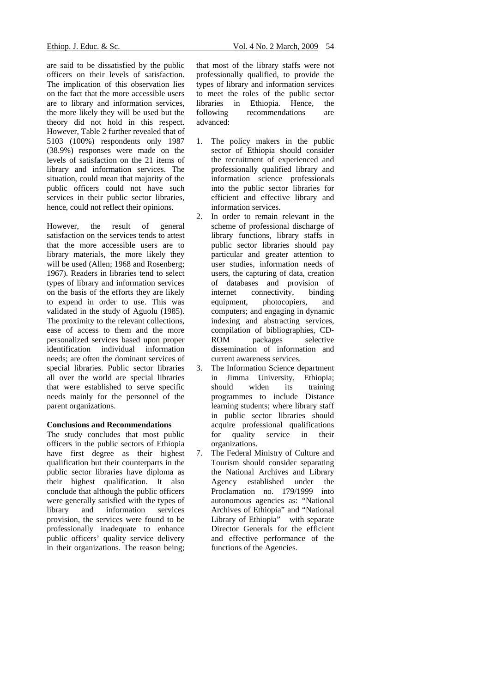are said to be dissatisfied by the public officers on their levels of satisfaction. The implication of this observation lies on the fact that the more accessible users are to library and information services, the more likely they will be used but the theory did not hold in this respect. However, Table 2 further revealed that of 5103 (100%) respondents only 1987 (38.9%) responses were made on the levels of satisfaction on the 21 items of library and information services. The situation, could mean that majority of the public officers could not have such services in their public sector libraries, hence, could not reflect their opinions.

However, the result of general satisfaction on the services tends to attest that the more accessible users are to library materials, the more likely they will be used (Allen; 1968 and Rosenberg; 1967). Readers in libraries tend to select types of library and information services on the basis of the efforts they are likely to expend in order to use. This was validated in the study of Aguolu (1985). The proximity to the relevant collections, ease of access to them and the more personalized services based upon proper identification individual information needs; are often the dominant services of special libraries. Public sector libraries all over the world are special libraries that were established to serve specific needs mainly for the personnel of the parent organizations.

### **Conclusions and Recommendations**

The study concludes that most public officers in the public sectors of Ethiopia have first degree as their highest qualification but their counterparts in the public sector libraries have diploma as their highest qualification. It also conclude that although the public officers were generally satisfied with the types of library and information services provision, the services were found to be professionally inadequate to enhance public officers' quality service delivery in their organizations. The reason being;

that most of the library staffs were not professionally qualified, to provide the types of library and information services to meet the roles of the public sector libraries in Ethiopia. Hence, the following recommendations are advanced:

- 1. The policy makers in the public sector of Ethiopia should consider the recruitment of experienced and professionally qualified library and information science professionals into the public sector libraries for efficient and effective library and information services.
- 2. In order to remain relevant in the scheme of professional discharge of library functions, library staffs in public sector libraries should pay particular and greater attention to user studies, information needs of users, the capturing of data, creation of databases and provision of internet connectivity, binding equipment, photocopiers, and computers; and engaging in dynamic indexing and abstracting services, compilation of bibliographies, CD-ROM packages selective dissemination of information and current awareness services.
- 3. The Information Science department in Jimma University, Ethiopia; should widen its training programmes to include Distance learning students; where library staff in public sector libraries should acquire professional qualifications for quality service in their organizations.
- 7. The Federal Ministry of Culture and Tourism should consider separating the National Archives and Library Agency established under the Proclamation no. 179/1999 into autonomous agencies as: "National Archives of Ethiopia" and "National Library of Ethiopia" with separate Director Generals for the efficient and effective performance of the functions of the Agencies.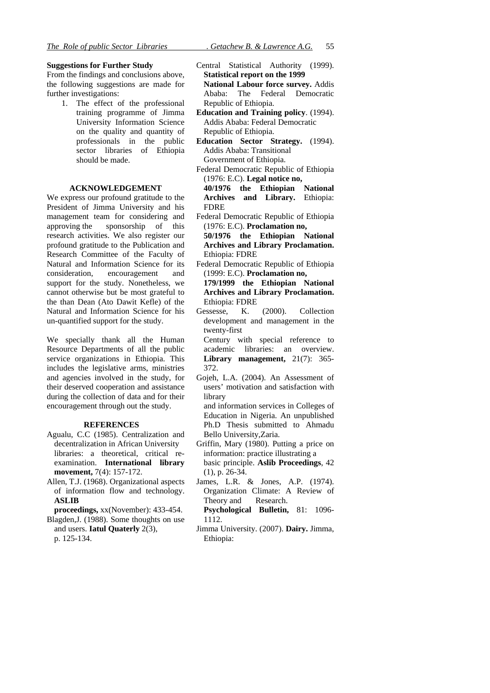### **Suggestions for Further Study**

From the findings and conclusions above, the following suggestions are made for further investigations:

1. The effect of the professional training programme of Jimma University Information Science on the quality and quantity of professionals in the public sector libraries of Ethiopia should be made.

### **ACKNOWLEDGEMENT**

We express our profound gratitude to the President of Jimma University and his management team for considering and approving the sponsorship of this research activities. We also register our profound gratitude to the Publication and Research Committee of the Faculty of Natural and Information Science for its consideration, encouragement and support for the study. Nonetheless, we cannot otherwise but be most grateful to the than Dean (Ato Dawit Kefle) of the Natural and Information Science for his un-quantified support for the study.

We specially thank all the Human Resource Departments of all the public service organizations in Ethiopia. This includes the legislative arms, ministries and agencies involved in the study, for their deserved cooperation and assistance during the collection of data and for their encouragement through out the study.

### **REFERENCES**

- Agualu, C.C (1985). Centralization and decentralization in African University libraries: a theoretical, critical reexamination. **International library movement,** 7(4): 157-172.
- Allen, T.J. (1968). Organizational aspects of information flow and technology. **ASLIB**

**proceedings,** xx(November): 433-454. Blagden,J. (1988). Some thoughts on use

and users. **Iatul Quaterly** 2(3), p. 125-134.

- Central Statistical Authority (1999). **Statistical report on the 1999 National Labour force survey.** Addis
- Ababa: The Federal Democratic Republic of Ethiopia. **Education and Training policy**. (1994).
- Addis Ababa: Federal Democratic Republic of Ethiopia.
- **Education Sector Strategy.** (1994). Addis Ababa: Transitional Government of Ethiopia.
- Federal Democratic Republic of Ethiopia (1976: E.C). **Legal notice no,**
- **40/1976 the Ethiopian National Archives and Library.** Ethiopia: **FDRE**
- Federal Democratic Republic of Ethiopia (1976: E.C). **Proclamation no,**

**50/1976 the Ethiopian National Archives and Library Proclamation.**  Ethiopia: FDRE

Federal Democratic Republic of Ethiopia (1999: E.C). **Proclamation no,** 

**179/1999 the Ethiopian National Archives and Library Proclamation.**  Ethiopia: FDRE

- Gessesse, K. (2000). Collection development and management in the twenty-first
- Century with special reference to academic libraries: an overview. **Library management,** 21(7): 365- 372.
- Gojeh, L.A. (2004). An Assessment of users' motivation and satisfaction with library

and information services in Colleges of Education in Nigeria. An unpublished Ph.D Thesis submitted to Ahmadu Bello University,Zaria.

- Griffin, Mary (1980). Putting a price on information: practice illustrating a
	- basic principle. **Aslib Proceedings**, 42 (1), p. 26-34.
- James, L.R. & Jones, A.P. (1974). Organization Climate: A Review of Theory and Research.

**Psychological Bulletin,** 81: 1096- 1112.

Jimma University. (2007). **Dairy.** Jimma, Ethiopia: